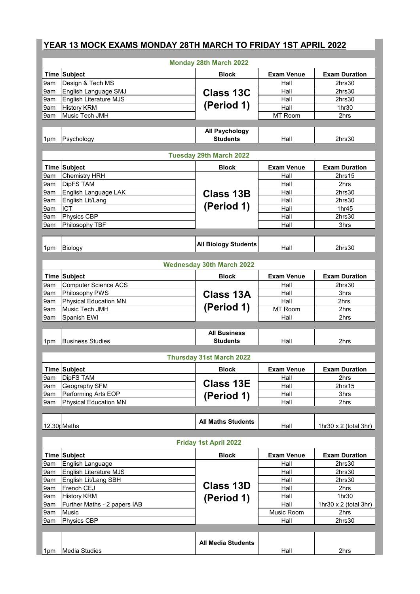## **YEAR 13 MOCK EXAMS MONDAY 28TH MARCH TO FRIDAY 1ST APRIL 2022**

| <b>Monday 28th March 2022</b>    |                              |                                   |                   |                              |  |
|----------------------------------|------------------------------|-----------------------------------|-------------------|------------------------------|--|
|                                  | Time Subject                 | <b>Block</b>                      | <b>Exam Venue</b> | <b>Exam Duration</b>         |  |
| 9am                              | Design & Tech MS             |                                   | Hall              | 2hrs30                       |  |
| 9am                              | English Language SMJ         | <b>Class 13C</b>                  | Hall              | 2hrs30                       |  |
| 9am                              | English Literature MJS       |                                   | Hall              | 2hrs30                       |  |
| 9am                              | <b>History KRM</b>           | (Period 1)                        | Hall              | 1hr30                        |  |
| 9am                              | Music Tech JMH               |                                   | MT Room           | 2hrs                         |  |
|                                  |                              |                                   |                   |                              |  |
| 1pm                              | Psychology                   | <b>All Psychology</b><br>Students | Hall              | 2hrs30                       |  |
|                                  |                              | <b>Tuesday 29th March 2022</b>    |                   |                              |  |
|                                  | Time Subject                 | <b>Block</b>                      | <b>Exam Venue</b> | <b>Exam Duration</b>         |  |
| 9am                              | Chemistry HRH                |                                   | Hall              | 2hrs15                       |  |
| 9am                              | DipFS TAM                    | <b>Class 13B</b><br>(Period 1)    | Hall              | 2hrs                         |  |
| 9am                              | English Language LAK         |                                   | Hall              | 2hrs30                       |  |
| 9am                              | English Lit/Lang             |                                   | Hall              | 2hrs30                       |  |
| 9am                              | <b>ICT</b>                   |                                   | Hall              | 1hr45                        |  |
| 9am                              | Physics CBP                  |                                   | Hall              | 2hrs30                       |  |
| 9am                              | Philosophy TBF               |                                   | Hall              | 3hrs                         |  |
|                                  |                              |                                   |                   |                              |  |
|                                  |                              | <b>All Biology Students</b>       |                   |                              |  |
| 1pm                              | Biology                      |                                   | Hall              | 2hrs30                       |  |
| <b>Wednesday 30th March 2022</b> |                              |                                   |                   |                              |  |
|                                  | Time Subject                 | <b>Block</b>                      | <b>Exam Venue</b> | <b>Exam Duration</b>         |  |
| 9am                              | <b>Computer Science ACS</b>  |                                   | Hall              | 2hrs30                       |  |
| 9am                              | Philosophy PWS               | <b>Class 13A</b>                  | Hall              | 3hrs                         |  |
| 9am                              | <b>Physical Education MN</b> |                                   | Hall              | 2hrs                         |  |
| 9am                              | Music Tech JMH               | (Period 1)                        | MT Room           | 2hrs                         |  |
| 9am                              | Spanish EWI                  |                                   | Hall              | 2hrs                         |  |
|                                  |                              |                                   |                   |                              |  |
|                                  |                              | <b>All Business</b>               |                   |                              |  |
| 1pm                              | <b>Business Studies</b>      | <b>Students</b>                   | Hall              | 2hrs                         |  |
| <b>Thursday 31st March 2022</b>  |                              |                                   |                   |                              |  |
|                                  | Time Subject                 | <b>Block</b>                      | <b>Exam Venue</b> | <b>Exam Duration</b>         |  |
| 9am                              | DipFS TAM                    |                                   | Hall              | 2hrs                         |  |
| 9am                              | Geography SFM                | <b>Class 13E</b>                  | Hall              | 2hrs15                       |  |
| 9am                              | Performing Arts EOP          |                                   | Hall              | 3hrs                         |  |
| 9am                              | <b>Physical Education MN</b> | (Period 1)                        | Hall              | 2hrs                         |  |
|                                  |                              |                                   |                   |                              |  |
|                                  | 12.30p Maths                 | <b>All Maths Students</b>         | Hall              | 1hr30 $x$ 2 (total 3hr)      |  |
|                                  |                              |                                   |                   |                              |  |
| <b>Friday 1st April 2022</b>     |                              |                                   |                   |                              |  |
|                                  | Time Subject                 | <b>Block</b>                      | <b>Exam Venue</b> | <b>Exam Duration</b>         |  |
| 9am                              | English Language             |                                   | Hall              | 2hrs30                       |  |
| 9am                              | English Literature MJS       |                                   | Hall              | 2hrs30                       |  |
| 9am                              | English Lit/Lang SBH         |                                   | Hall              | 2hrs30                       |  |
| 9am                              | French CEJ                   | <b>Class 13D</b>                  | Hall              | 2hrs                         |  |
| 9am                              | <b>History KRM</b>           | (Period 1)                        | Hall              | 1hr30                        |  |
| 9am                              | Further Maths - 2 papers IAB |                                   | Hall              | 1hr30 $\times$ 2 (total 3hr) |  |
| 9am                              | Music                        |                                   | Music Room        | 2hrs                         |  |
| 9am                              | Physics CBP                  |                                   | Hall              | 2hrs30                       |  |
|                                  |                              |                                   |                   |                              |  |
|                                  |                              | <b>All Media Students</b>         |                   |                              |  |
|                                  |                              |                                   |                   |                              |  |